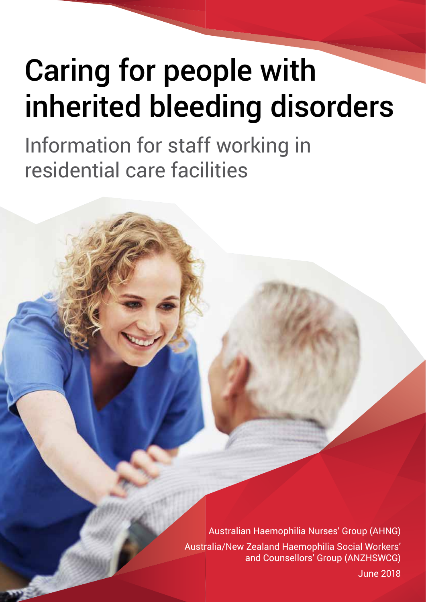# Caring for people with inherited bleeding disorders

Information for staff working in residential care facilities

> Australian Haemophilia Nurses' Group (AHNG) Australia/New Zealand Haemophilia Social Workers' and Counsellors' Group (ANZHSWCG)

 $\mathcal{C}$  carried bleeding for people with inherited bleeding disorders  $\mathcal{C}$  and  $\mathcal{C}$  and  $\mathcal{C}$  and  $\mathcal{C}$  and  $\mathcal{C}$  and  $\mathcal{C}$  and  $\mathcal{C}$  and  $\mathcal{C}$  and  $\mathcal{C}$  and  $\mathcal{C}$  and  $\mathcal{C}$  and  $\mathcal{C}$ June 2018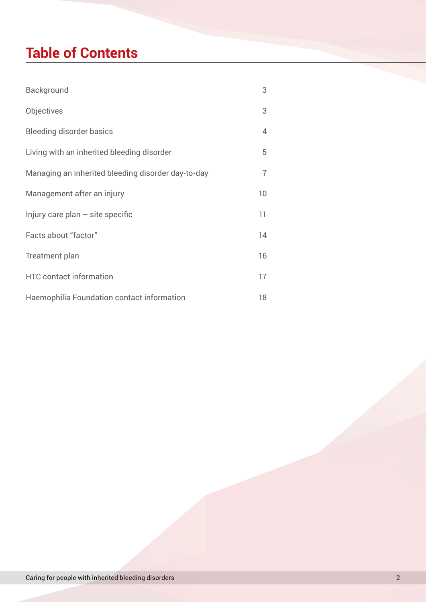# **Table of Contents**

| Background                                         | 3              |
|----------------------------------------------------|----------------|
| Objectives                                         | 3              |
| <b>Bleeding disorder basics</b>                    | $\overline{4}$ |
| Living with an inherited bleeding disorder         | 5              |
| Managing an inherited bleeding disorder day-to-day | $\overline{7}$ |
| Management after an injury                         | 10             |
| Injury care plan $-$ site specific                 | 11             |
| Facts about "factor"                               | 14             |
| Treatment plan                                     | 16             |
| <b>HTC</b> contact information                     | 17             |
| Haemophilia Foundation contact information         | 18             |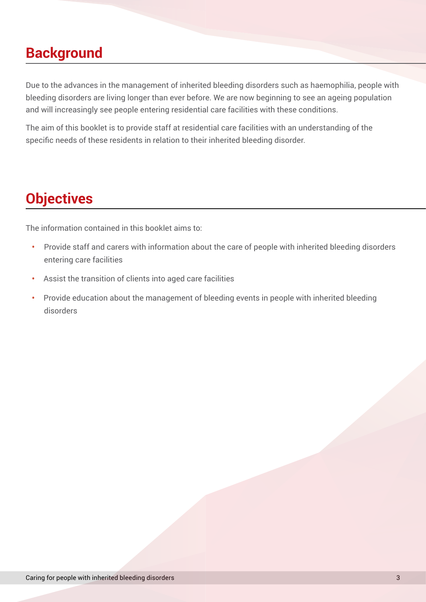### **Background**

Due to the advances in the management of inherited bleeding disorders such as haemophilia, people with bleeding disorders are living longer than ever before. We are now beginning to see an ageing population and will increasingly see people entering residential care facilities with these conditions.

The aim of this booklet is to provide staff at residential care facilities with an understanding of the specific needs of these residents in relation to their inherited bleeding disorder.

# **Objectives**

The information contained in this booklet aims to:

- **•** Provide staff and carers with information about the care of people with inherited bleeding disorders entering care facilities
- **•** Assist the transition of clients into aged care facilities
- **•** Provide education about the management of bleeding events in people with inherited bleeding disorders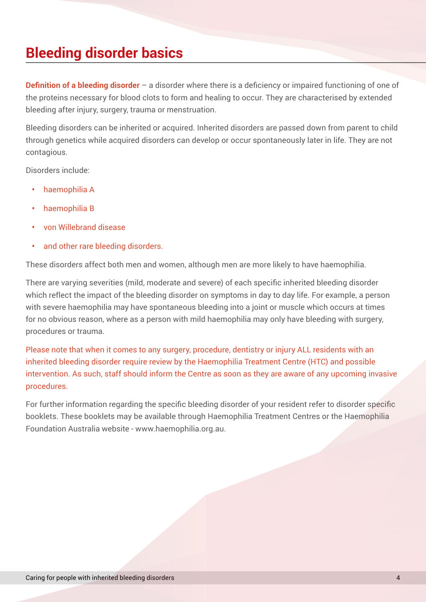# **Bleeding disorder basics**

**Definition of a bleeding disorder** – a disorder where there is a deficiency or impaired functioning of one of the proteins necessary for blood clots to form and healing to occur. They are characterised by extended bleeding after injury, surgery, trauma or menstruation.

Bleeding disorders can be inherited or acquired. Inherited disorders are passed down from parent to child through genetics while acquired disorders can develop or occur spontaneously later in life. They are not contagious.

Disorders include:

- **•** haemophilia A
- **•** haemophilia B
- **•** von Willebrand disease
- **•** and other rare bleeding disorders.

These disorders affect both men and women, although men are more likely to have haemophilia.

There are varying severities (mild, moderate and severe) of each specific inherited bleeding disorder which reflect the impact of the bleeding disorder on symptoms in day to day life. For example, a person with severe haemophilia may have spontaneous bleeding into a joint or muscle which occurs at times for no obvious reason, where as a person with mild haemophilia may only have bleeding with surgery, procedures or trauma.

Please note that when it comes to any surgery, procedure, dentistry or injury ALL residents with an inherited bleeding disorder require review by the Haemophilia Treatment Centre (HTC) and possible intervention. As such, staff should inform the Centre as soon as they are aware of any upcoming invasive procedures.

For further information regarding the specific bleeding disorder of your resident refer to disorder specific booklets. These booklets may be available through Haemophilia Treatment Centres or the Haemophilia Foundation Australia website - www.haemophilia.org.au.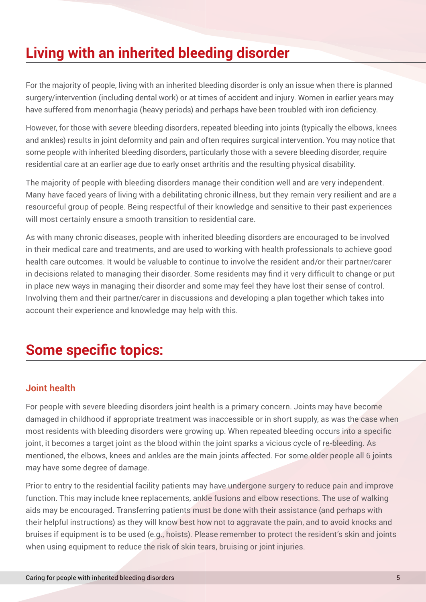# **Living with an inherited bleeding disorder**

For the majority of people, living with an inherited bleeding disorder is only an issue when there is planned surgery/intervention (including dental work) or at times of accident and injury. Women in earlier years may have suffered from menorrhagia (heavy periods) and perhaps have been troubled with iron deficiency.

However, for those with severe bleeding disorders, repeated bleeding into joints (typically the elbows, knees and ankles) results in joint deformity and pain and often requires surgical intervention. You may notice that some people with inherited bleeding disorders, particularly those with a severe bleeding disorder, require residential care at an earlier age due to early onset arthritis and the resulting physical disability.

The majority of people with bleeding disorders manage their condition well and are very independent. Many have faced years of living with a debilitating chronic illness, but they remain very resilient and are a resourceful group of people. Being respectful of their knowledge and sensitive to their past experiences will most certainly ensure a smooth transition to residential care.

As with many chronic diseases, people with inherited bleeding disorders are encouraged to be involved in their medical care and treatments, and are used to working with health professionals to achieve good health care outcomes. It would be valuable to continue to involve the resident and/or their partner/carer in decisions related to managing their disorder. Some residents may find it very difficult to change or put in place new ways in managing their disorder and some may feel they have lost their sense of control. Involving them and their partner/carer in discussions and developing a plan together which takes into account their experience and knowledge may help with this.

# **Some specific topics:**

### **Joint health**

For people with severe bleeding disorders joint health is a primary concern. Joints may have become damaged in childhood if appropriate treatment was inaccessible or in short supply, as was the case when most residents with bleeding disorders were growing up. When repeated bleeding occurs into a specific joint, it becomes a target joint as the blood within the joint sparks a vicious cycle of re-bleeding. As mentioned, the elbows, knees and ankles are the main joints affected. For some older people all 6 joints may have some degree of damage.

Prior to entry to the residential facility patients may have undergone surgery to reduce pain and improve function. This may include knee replacements, ankle fusions and elbow resections. The use of walking aids may be encouraged. Transferring patients must be done with their assistance (and perhaps with their helpful instructions) as they will know best how not to aggravate the pain, and to avoid knocks and bruises if equipment is to be used (e.g., hoists). Please remember to protect the resident's skin and joints when using equipment to reduce the risk of skin tears, bruising or joint injuries.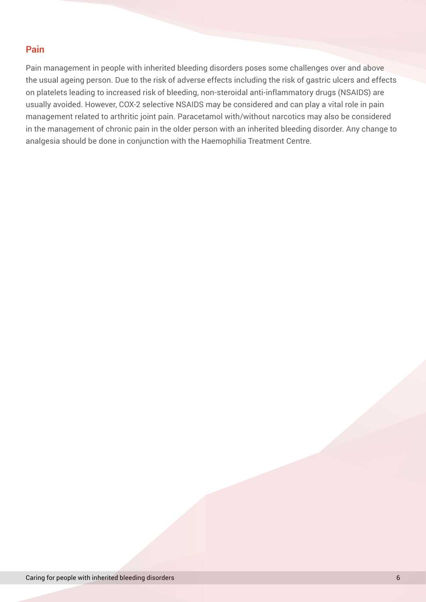#### **Pain**

Pain management in people with inherited bleeding disorders poses some challenges over and above the usual ageing person. Due to the risk of adverse effects including the risk of gastric ulcers and effects on platelets leading to increased risk of bleeding, non-steroidal anti-inflammatory drugs (NSAIDS) are usually avoided. However, COX-2 selective NSAIDS may be considered and can play a vital role in pain management related to arthritic joint pain. Paracetamol with/without narcotics may also be considered in the management of chronic pain in the older person with an inherited bleeding disorder. Any change to analgesia should be done in conjunction with the Haemophilia Treatment Centre.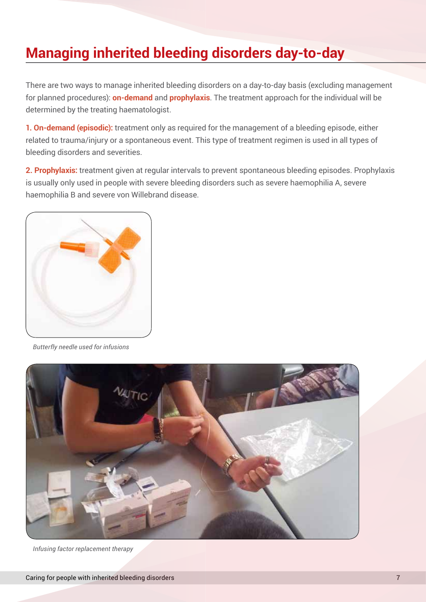# **Managing inherited bleeding disorders day-to-day**

There are two ways to manage inherited bleeding disorders on a day-to-day basis (excluding management for planned procedures): **on-demand** and **prophylaxis**. The treatment approach for the individual will be determined by the treating haematologist.

**1. On-demand (episodic):** treatment only as required for the management of a bleeding episode, either related to trauma/injury or a spontaneous event. This type of treatment regimen is used in all types of bleeding disorders and severities.

**2. Prophylaxis:** treatment given at regular intervals to prevent spontaneous bleeding episodes. Prophylaxis is usually only used in people with severe bleeding disorders such as severe haemophilia A, severe haemophilia B and severe von Willebrand disease.



*Butterfly needle used for infusions*



*Infusing factor replacement therapy*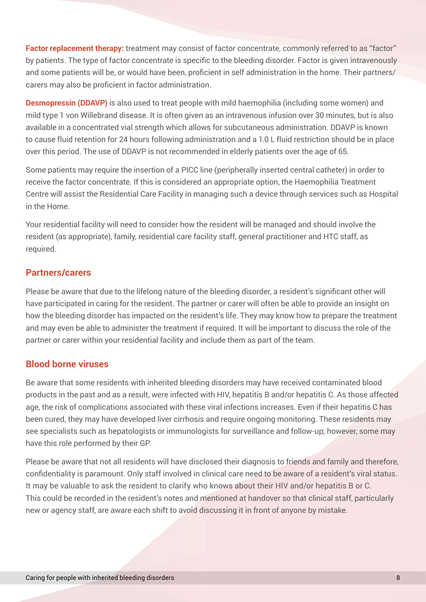**Factor replacement therapy:** treatment may consist of factor concentrate, commonly referred to as "factor" by patients. The type of factor concentrate is specific to the bleeding disorder. Factor is given intravenously and some patients will be, or would have been, proficient in self administration in the home. Their partners/ carers may also be proficient in factor administration.

**Desmopressin (DDAVP)** is also used to treat people with mild haemophilia (including some women) and mild type 1 von Willebrand disease. It is often given as an intravenous infusion over 30 minutes, but is also available in a concentrated vial strength which allows for subcutaneous administration. DDAVP is known to cause fluid retention for 24 hours following administration and a 1.0 L fluid restriction should be in place over this period. The use of DDAVP is not recommended in elderly patients over the age of 65.

Some patients may require the insertion of a PICC line (peripherally inserted central catheter) in order to receive the factor concentrate. If this is considered an appropriate option, the Haemophilia Treatment Centre will assist the Residential Care Facility in managing such a device through services such as Hospital in the Home.

Your residential facility will need to consider how the resident will be managed and should involve the resident (as appropriate), family, residential care facility staff, general practitioner and HTC staff, as required.

#### **Partners/carers**

Please be aware that due to the lifelong nature of the bleeding disorder, a resident's significant other will have participated in caring for the resident. The partner or carer will often be able to provide an insight on how the bleeding disorder has impacted on the resident's life. They may know how to prepare the treatment and may even be able to administer the treatment if required. It will be important to discuss the role of the partner or carer within your residential facility and include them as part of the team.

### **Blood borne viruses**

Be aware that some residents with inherited bleeding disorders may have received contaminated blood products in the past and as a result, were infected with HIV, hepatitis B and/or hepatitis C. As those affected age, the risk of complications associated with these viral infections increases. Even if their hepatitis C has been cured, they may have developed liver cirrhosis and require ongoing monitoring. These residents may see specialists such as hepatologists or immunologists for surveillance and follow-up; however, some may have this role performed by their GP.

Please be aware that not all residents will have disclosed their diagnosis to friends and family and therefore, confidentiality is paramount. Only staff involved in clinical care need to be aware of a resident's viral status. It may be valuable to ask the resident to clarify who knows about their HIV and/or hepatitis B or C. This could be recorded in the resident's notes and mentioned at handover so that clinical staff, particularly new or agency staff, are aware each shift to avoid discussing it in front of anyone by mistake.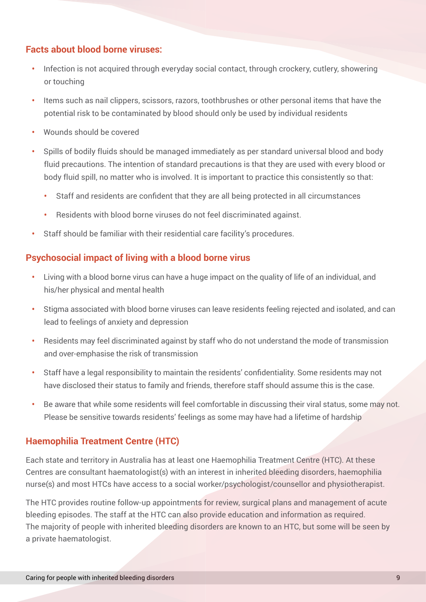### **Facts about blood borne viruses:**

- Infection is not acquired through everyday social contact, through crockery, cutlery, showering or touching
- **•** Items such as nail clippers, scissors, razors, toothbrushes or other personal items that have the potential risk to be contaminated by blood should only be used by individual residents
- **•** Wounds should be covered
- **•** Spills of bodily fluids should be managed immediately as per standard universal blood and body fluid precautions. The intention of standard precautions is that they are used with every blood or body fluid spill, no matter who is involved. It is important to practice this consistently so that:
	- **•** Staff and residents are confident that they are all being protected in all circumstances
	- **•** Residents with blood borne viruses do not feel discriminated against.
- **•** Staff should be familiar with their residential care facility's procedures.

### **Psychosocial impact of living with a blood borne virus**

- **•** Living with a blood borne virus can have a huge impact on the quality of life of an individual, and his/her physical and mental health
- **•** Stigma associated with blood borne viruses can leave residents feeling rejected and isolated, and can lead to feelings of anxiety and depression
- **•** Residents may feel discriminated against by staff who do not understand the mode of transmission and over-emphasise the risk of transmission
- **•** Staff have a legal responsibility to maintain the residents' confidentiality. Some residents may not have disclosed their status to family and friends, therefore staff should assume this is the case.
- **•** Be aware that while some residents will feel comfortable in discussing their viral status, some may not. Please be sensitive towards residents' feelings as some may have had a lifetime of hardship

### **Haemophilia Treatment Centre (HTC)**

Each state and territory in Australia has at least one Haemophilia Treatment Centre (HTC). At these Centres are consultant haematologist(s) with an interest in inherited bleeding disorders, haemophilia nurse(s) and most HTCs have access to a social worker/psychologist/counsellor and physiotherapist.

The HTC provides routine follow-up appointments for review, surgical plans and management of acute bleeding episodes. The staff at the HTC can also provide education and information as required. The majority of people with inherited bleeding disorders are known to an HTC, but some will be seen by a private haematologist.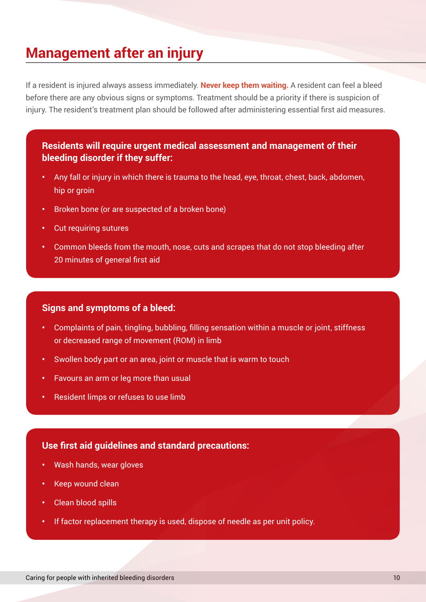### **Management after an injury**

If a resident is injured always assess immediately. **Never keep them waiting.** A resident can feel a bleed before there are any obvious signs or symptoms. Treatment should be a priority if there is suspicion of injury. The resident's treatment plan should be followed after administering essential first aid measures.

**Residents will require urgent medical assessment and management of their bleeding disorder if they suffer:**

- **•** Any fall or injury in which there is trauma to the head, eye, throat, chest, back, abdomen, hip or groin
- **•** Broken bone (or are suspected of a broken bone)
- **•** Cut requiring sutures
- **•** Common bleeds from the mouth, nose, cuts and scrapes that do not stop bleeding after 20 minutes of general first aid

#### **Signs and symptoms of a bleed:**

- **•** Complaints of pain, tingling, bubbling, filling sensation within a muscle or joint, stiffness or decreased range of movement (ROM) in limb
- **•** Swollen body part or an area, joint or muscle that is warm to touch
- **•** Favours an arm or leg more than usual
- **•** Resident limps or refuses to use limb

#### **Use first aid guidelines and standard precautions:**

- **•** Wash hands, wear gloves
- **•** Keep wound clean
- **•** Clean blood spills
- **•** If factor replacement therapy is used, dispose of needle as per unit policy.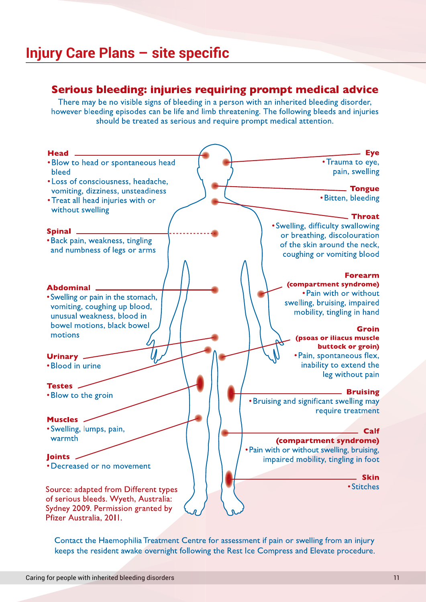### **Injury Care Plans – site specific**

### Serious bleeding: injuries requiring prompt medical advice

There may be no visible signs of bleeding in a person with an inherited bleeding disorder, however bleeding episodes can be life and limb threatening. The following bleeds and injuries should be treated as serious and require prompt medical attention.



Contact the Haemophilia Treatment Centre for assessment if pain or swelling from an injury keeps the resident awake overnight following the Rest Ice Compress and Elevate procedure.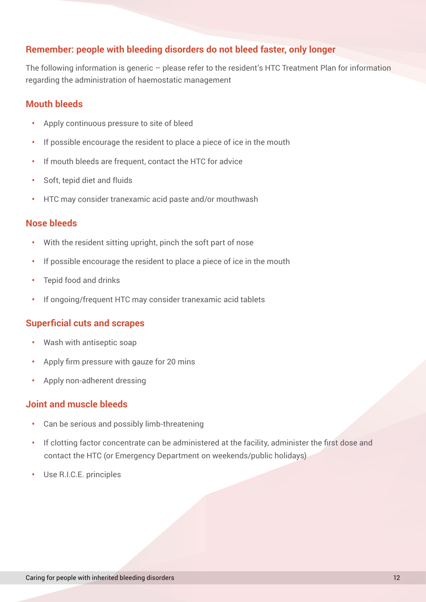### **Remember: people with bleeding disorders do not bleed faster, only longer**

The following information is generic – please refer to the resident's HTC Treatment Plan for information regarding the administration of haemostatic management

#### **Mouth bleeds**

- **•** Apply continuous pressure to site of bleed
- **•** If possible encourage the resident to place a piece of ice in the mouth
- **•** If mouth bleeds are frequent, contact the HTC for advice
- **•** Soft, tepid diet and fluids
- **•** HTC may consider tranexamic acid paste and/or mouthwash

#### **Nose bleeds**

- **•** With the resident sitting upright, pinch the soft part of nose
- **•** If possible encourage the resident to place a piece of ice in the mouth
- **•** Tepid food and drinks
- **•** If ongoing/frequent HTC may consider tranexamic acid tablets

#### **Superficial cuts and scrapes**

- **•** Wash with antiseptic soap
- **•** Apply firm pressure with gauze for 20 mins
- **•** Apply non-adherent dressing

#### **Joint and muscle bleeds**

- **•** Can be serious and possibly limb-threatening
- **•** If clotting factor concentrate can be administered at the facility, administer the first dose and contact the HTC (or Emergency Department on weekends/public holidays)
- **•** Use R.I.C.E. principles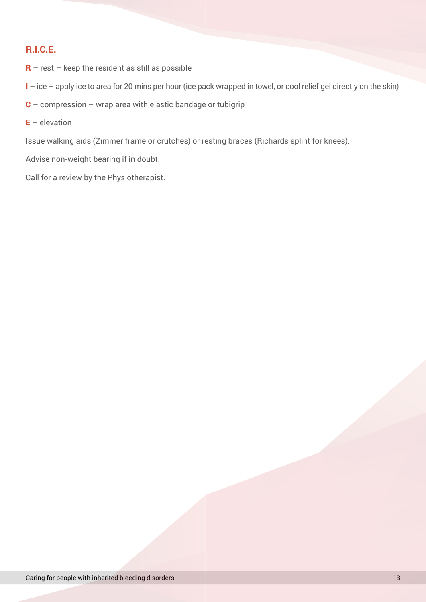### **R.I.C.E.**

- **R** rest keep the resident as still as possible
- **I**  ice apply ice to area for 20 mins per hour (ice pack wrapped in towel, or cool relief gel directly on the skin)
- **C**  compression wrap area with elastic bandage or tubigrip
- $E -$  elevation

Issue walking aids (Zimmer frame or crutches) or resting braces (Richards splint for knees).

Advise non-weight bearing if in doubt.

Call for a review by the Physiotherapist.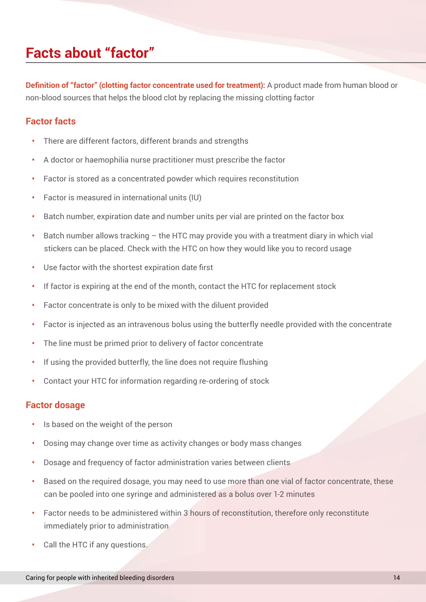### **Facts about "factor"**

**Definition of "factor" (clotting factor concentrate used for treatment):** A product made from human blood or non-blood sources that helps the blood clot by replacing the missing clotting factor

#### **Factor facts**

- **•** There are different factors, different brands and strengths
- **•** A doctor or haemophilia nurse practitioner must prescribe the factor
- **•** Factor is stored as a concentrated powder which requires reconstitution
- **•** Factor is measured in international units (IU)
- **•** Batch number, expiration date and number units per vial are printed on the factor box
- **•** Batch number allows tracking the HTC may provide you with a treatment diary in which vial stickers can be placed. Check with the HTC on how they would like you to record usage
- **•** Use factor with the shortest expiration date first
- **•** If factor is expiring at the end of the month, contact the HTC for replacement stock
- **•** Factor concentrate is only to be mixed with the diluent provided
- **•** Factor is injected as an intravenous bolus using the butterfly needle provided with the concentrate
- **•** The line must be primed prior to delivery of factor concentrate
- **•** If using the provided butterfly, the line does not require flushing
- **•** Contact your HTC for information regarding re-ordering of stock

#### **Factor dosage**

- **•** Is based on the weight of the person
- **•** Dosing may change over time as activity changes or body mass changes
- **•** Dosage and frequency of factor administration varies between clients
- **•** Based on the required dosage, you may need to use more than one vial of factor concentrate, these can be pooled into one syringe and administered as a bolus over 1-2 minutes
- **•** Factor needs to be administered within 3 hours of reconstitution, therefore only reconstitute immediately prior to administration
- **•** Call the HTC if any questions.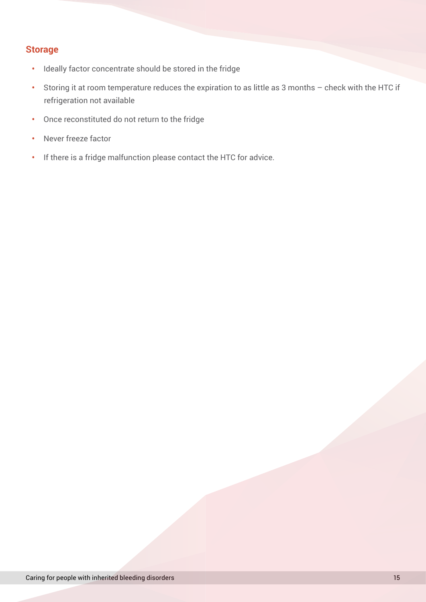### **Storage**

- **•** Ideally factor concentrate should be stored in the fridge
- **•** Storing it at room temperature reduces the expiration to as little as 3 months check with the HTC if refrigeration not available
- **•** Once reconstituted do not return to the fridge
- **•** Never freeze factor
- **•** If there is a fridge malfunction please contact the HTC for advice.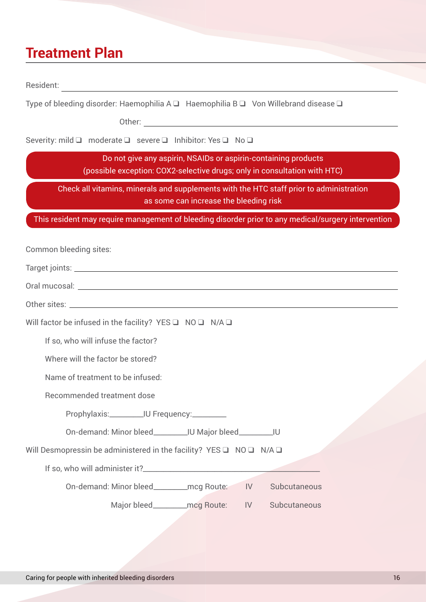### **Treatment Plan**

Resident: which is a set of the set of the set of the set of the set of the set of the set of the set of the set of the set of the set of the set of the set of the set of the set of the set of the set of the set of the set

Type of bleeding disorder: Haemophilia A  $\Box$  Haemophilia B  $\Box$  Von Willebrand disease  $\Box$ 

Other: when the contract of the contract of the contract of the contract of the contract of the contract of the contract of the contract of the contract of the contract of the contract of the contract of the contract of th

Severity: mild  $\Box$  moderate  $\Box$  severe  $\Box$  Inhibitor: Yes  $\Box$  No  $\Box$ 

Do not give any aspirin, NSAIDs or aspirin-containing products (possible exception: COX2-selective drugs; only in consultation with HTC)

Check all vitamins, minerals and supplements with the HTC staff prior to administration as some can increase the bleeding risk

This resident may require management of bleeding disorder prior to any medical/surgery intervention

Common bleeding sites:

Target joints: Late of the contract of the contract of the contract of the contract of the contract of the contract of the contract of the contract of the contract of the contract of the contract of the contract of the con

|  | Oral mucosal: |
|--|---------------|
|--|---------------|

Other sites:

Will factor be infused in the facility? YES  $\Box$  NO  $\Box$  N/A  $\Box$ 

If so, who will infuse the factor?

Where will the factor be stored?

Name of treatment to be infused:

Recommended treatment dose

Prophylaxis:\_\_\_\_\_\_\_\_\_\_\_\_IU Frequency:\_\_\_\_\_\_\_\_\_\_

On-demand: Minor bleed\_\_\_\_\_\_\_\_\_\_IU Major bleed\_\_\_\_\_\_\_\_\_\_IU

Will Desmopressin be administered in the facility? YES  $\Box$  NO  $\Box$  N/A  $\Box$ 

If so, who will administer it?\_\_\_\_\_\_\_\_\_\_\_\_\_\_\_\_\_\_\_\_\_\_\_\_\_\_\_\_\_\_\_\_\_\_\_\_\_\_\_\_\_\_\_\_\_\_\_\_\_\_\_\_

On-demand: Minor bleed\_\_\_\_\_\_\_\_\_\_mcg Route: IV Subcutaneous

Major bleed and mcg Route: IV Subcutaneous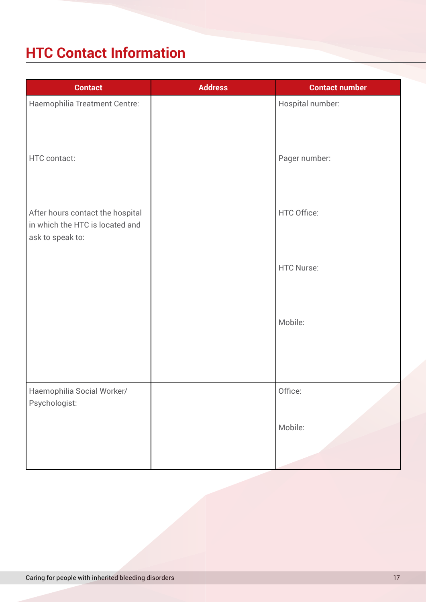# **HTC Contact Information**

| <b>Contact</b>                                                                          | <b>Address</b> | <b>Contact number</b> |
|-----------------------------------------------------------------------------------------|----------------|-----------------------|
| Haemophilia Treatment Centre:                                                           |                | Hospital number:      |
| HTC contact:                                                                            |                | Pager number:         |
| After hours contact the hospital<br>in which the HTC is located and<br>ask to speak to: |                | HTC Office:           |
|                                                                                         |                | <b>HTC Nurse:</b>     |
|                                                                                         |                | Mobile:               |
| Haemophilia Social Worker/<br>Psychologist:                                             |                | Office:               |
|                                                                                         |                | Mobile:               |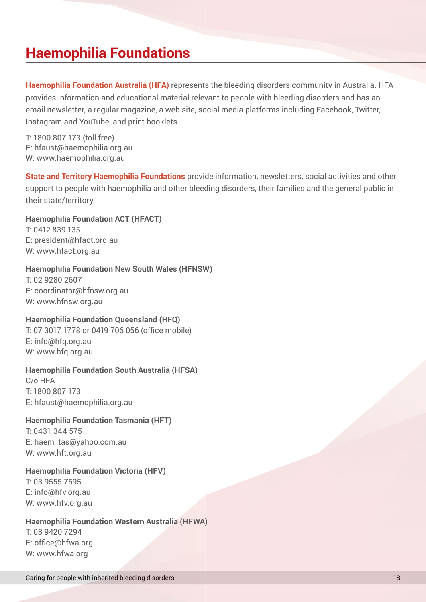### **Haemophilia Foundations**

**Haemophilia Foundation Australia (HFA)** represents the bleeding disorders community in Australia. HFA provides information and educational material relevant to people with bleeding disorders and has an email newsletter, a regular magazine, a web site, social media platforms including Facebook, Twitter, Instagram and YouTube, and print booklets.

T: 1800 807 173 (toll free) E: hfaust@haemophilia.org.au W: www.haemophilia.org.au

**State and Territory Haemophilia Foundations** provide information, newsletters, social activities and other support to people with haemophilia and other bleeding disorders, their families and the general public in their state/territory.

**Haemophilia Foundation ACT (HFACT)** T: 0412 839 135 E: president@hfact.org.au

W: www.hfact.org.au

#### **Haemophilia Foundation New South Wales (HFNSW)**

T: 02 9280 2607 E: coordinator@hfnsw.org.au W: www.hfnsw.org.au

#### **Haemophilia Foundation Queensland (HFQ)**

T: 07 3017 1778 or 0419 706 056 (office mobile) E: info@hfq.org.au W: www.hfq.org.au

#### **Haemophilia Foundation South Australia (HFSA)**

C/o HFA T: 1800 807 173 E: hfaust@haemophilia.org.au

#### **Haemophilia Foundation Tasmania (HFT)**

T: 0431 344 575 E: haem\_tas@yahoo.com.au W: www.hft.org.au

#### **Haemophilia Foundation Victoria (HFV)**

T: 03 9555 7595 E: info@hfv.org.au W: www.hfv.org.au

#### **Haemophilia Foundation Western Australia (HFWA)**

T: 08 9420 7294 E: office@hfwa.org W: www.hfwa.org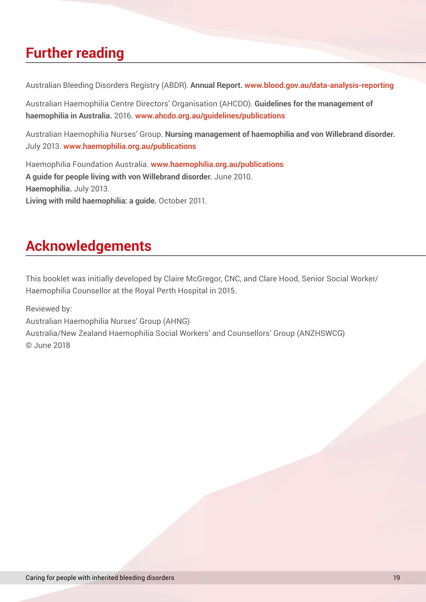### **Further reading**

Australian Bleeding Disorders Registry (ABDR). **Annual Report. www.blood.gov.au/data-analysis-reporting**

Australian Haemophilia Centre Directors' Organisation (AHCDO). **Guidelines for the management of haemophilia in Australia.** 2016. **www.ahcdo.org.au/guidelines/publications**

Australian Haemophilia Nurses' Group. **Nursing management of haemophilia and von Willebrand disorder.**  July 2013. **www.haemophilia.org.au/publications**

Haemophilia Foundation Australia. **www.haemophilia.org.au/publications A guide for people living with von Willebrand disorder.** June 2010. **Haemophilia.** July 2013. **Living with mild haemophilia: a guide.** October 2011.

# **Acknowledgements**

This booklet was initially developed by Claire McGregor, CNC, and Clare Hood, Senior Social Worker/ Haemophilia Counsellor at the Royal Perth Hospital in 2015.

Reviewed by: Australian Haemophilia Nurses' Group (AHNG) Australia/New Zealand Haemophilia Social Workers' and Counsellors' Group (ANZHSWCG) © June 2018